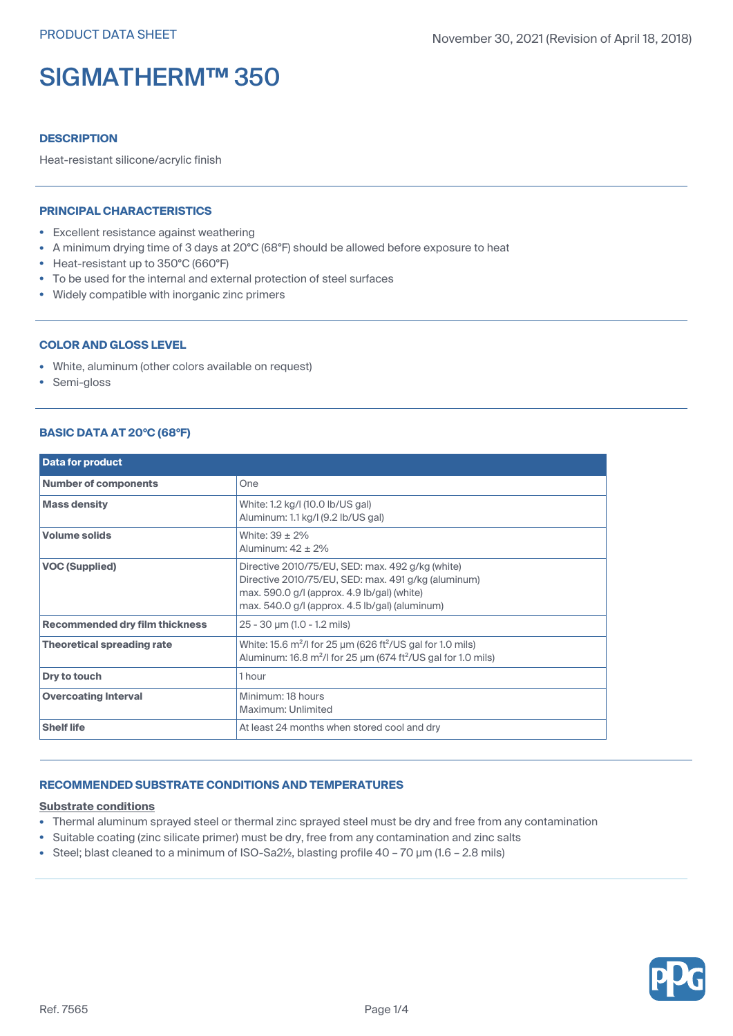# **DESCRIPTION**

Heat-resistant silicone/acrylic finish

## **PRINCIPAL CHARACTERISTICS**

- Excellent resistance against weathering
- A minimum drying time of 3 days at 20°C (68°F) should be allowed before exposure to heat
- Heat-resistant up to 350°C (660°F)
- To be used for the internal and external protection of steel surfaces
- Widely compatible with inorganic zinc primers

# **COLOR AND GLOSS LEVEL**

- White, aluminum (other colors available on request)
- Semi-gloss

# **BASIC DATA AT 20°C (68°F)**

| <b>Data for product</b>               |                                                                                                                                                                                                              |
|---------------------------------------|--------------------------------------------------------------------------------------------------------------------------------------------------------------------------------------------------------------|
| <b>Number of components</b>           | One                                                                                                                                                                                                          |
| <b>Mass density</b>                   | White: 1.2 kg/l (10.0 lb/US gal)<br>Aluminum: 1.1 kg/l (9.2 lb/US gal)                                                                                                                                       |
| <b>Volume solids</b>                  | White: $39 \pm 2\%$<br>Aluminum: $42 \pm 2\%$                                                                                                                                                                |
| <b>VOC (Supplied)</b>                 | Directive 2010/75/EU, SED: max. 492 g/kg (white)<br>Directive 2010/75/EU, SED: max. 491 g/kg (aluminum)<br>max. 590.0 g/l (approx. 4.9 lb/gal) (white)<br>max. $540.0$ g/l (approx. $4.5$ lb/gal) (aluminum) |
| <b>Recommended dry film thickness</b> | 25 - 30 µm (1.0 - 1.2 mils)                                                                                                                                                                                  |
| <b>Theoretical spreading rate</b>     | White: 15.6 $m^2$ /I for 25 $\mu$ m (626 ft <sup>2</sup> /US gal for 1.0 mils)<br>Aluminum: 16.8 $m^2$ /I for 25 $\mu$ m (674 ft <sup>2</sup> /US gal for 1.0 mils)                                          |
| Dry to touch                          | 1 hour                                                                                                                                                                                                       |
| <b>Overcoating Interval</b>           | Minimum: 18 hours<br>Maximum: Unlimited                                                                                                                                                                      |
| <b>Shelf life</b>                     | At least 24 months when stored cool and dry                                                                                                                                                                  |

# **RECOMMENDED SUBSTRATE CONDITIONS AND TEMPERATURES**

#### **Substrate conditions**

- Thermal aluminum sprayed steel or thermal zinc sprayed steel must be dry and free from any contamination
- Suitable coating (zinc silicate primer) must be dry, free from any contamination and zinc salts
- Steel; blast cleaned to a minimum of ISO-Sa2<sup>y</sup><sub>2</sub>, blasting profile 40 70 µm (1.6 2.8 mils)

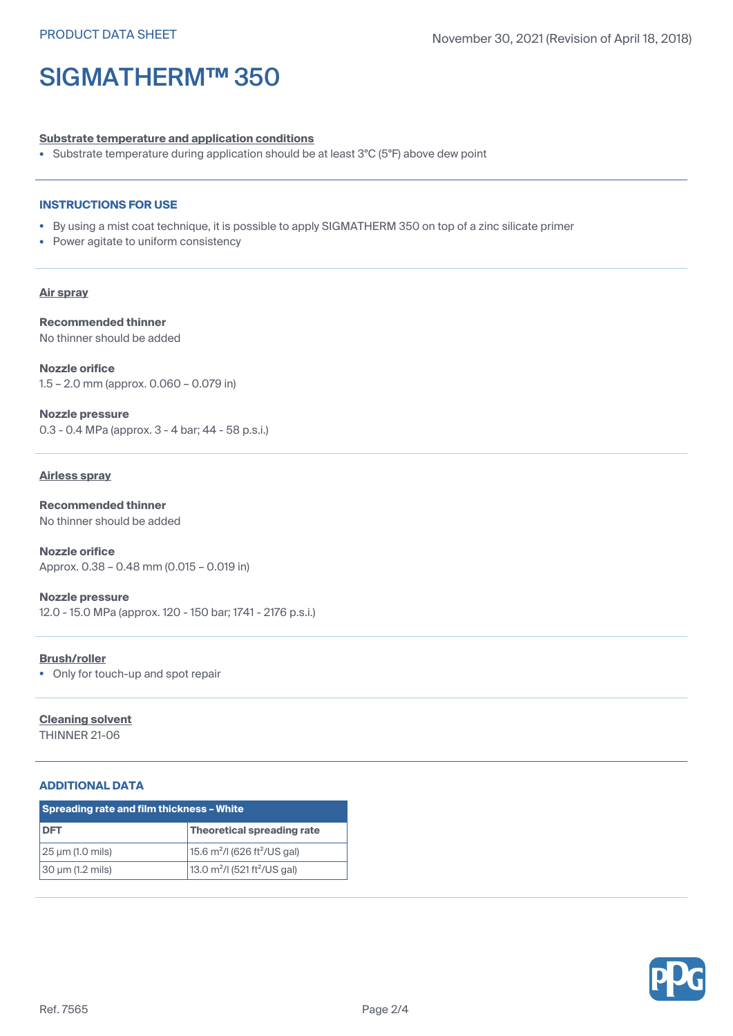#### **Substrate temperature and application conditions**

• Substrate temperature during application should be at least 3°C (5°F) above dew point

## **INSTRUCTIONS FOR USE**

- By using <sup>a</sup> mist coat technique, it is possible to apply SIGMATHERM 350 on top of <sup>a</sup> zinc silicate primer
- Power agitate to uniform consistency

## **Air spray**

**Recommended thinner** No thinner should be added

**Nozzle orifice** 1.5 – 2.0 mm (approx. 0.060 – 0.079 in)

**Nozzle pressure** 0.3 - 0.4 MPa (approx. 3 - 4 bar; 44 - 58 p.s.i.)

#### **Airless spray**

**Recommended thinner** No thinner should be added

**Nozzle orifice** Approx. 0.38 – 0.48 mm (0.015 – 0.019 in)

**Nozzle pressure** 12.0 - 15.0 MPa (approx. 120 - 150 bar; 1741 - 2176 p.s.i.)

#### **Brush/roller**

• Only for touch-up and spot repair

#### **Cleaning solvent**

THINNER 21-06

## **ADDITIONAL DATA**

| <b>Spreading rate and film thickness - White</b> |                                             |  |
|--------------------------------------------------|---------------------------------------------|--|
| DFT                                              | Theoretical spreading rate                  |  |
| 25 µm (1.0 mils)                                 | 15.6 $m^2$ /I (626 ft <sup>2</sup> /US gal) |  |
| 30 µm (1.2 mils)                                 | 13.0 $m^2$ /I (521 ft <sup>2</sup> /US gal) |  |

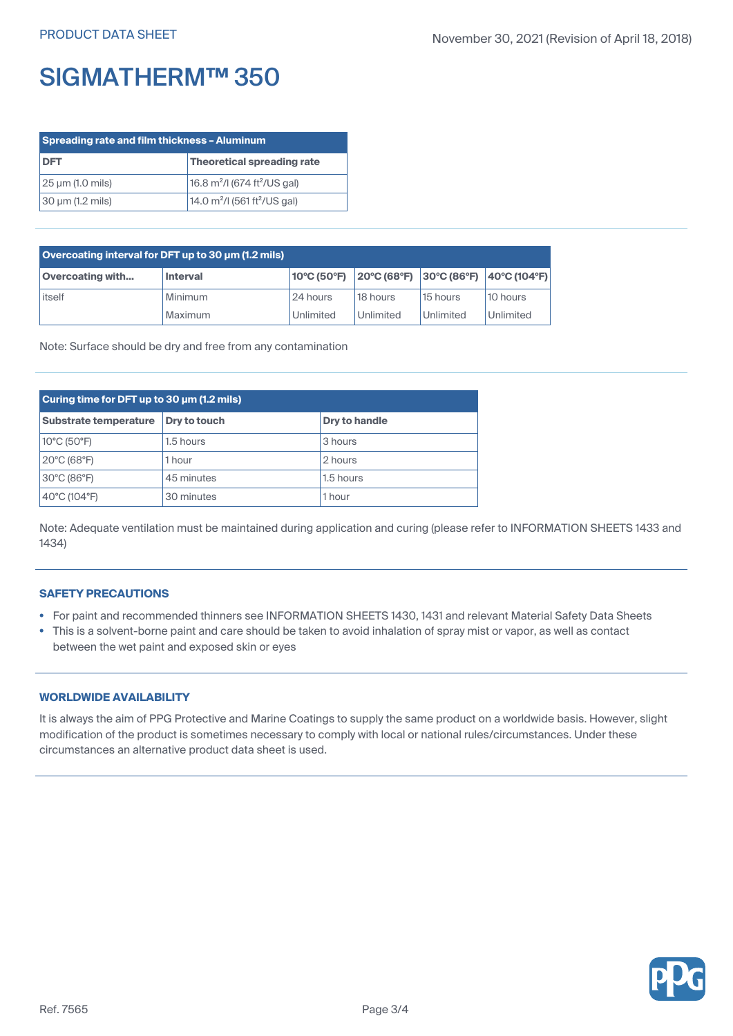| <b>Spreading rate and film thickness - Aluminum</b> |                                                      |  |
|-----------------------------------------------------|------------------------------------------------------|--|
| <b>DFT</b>                                          | Theoretical spreading rate                           |  |
| 25 µm (1.0 mils)                                    | 16.8 $m^2$ /I (674 ft <sup>2</sup> /US gal)          |  |
| 30 µm (1.2 mils)                                    | 14.0 m <sup>2</sup> /l (561 ft <sup>2</sup> /US gal) |  |

| Overcoating interval for DFT up to 30 µm (1.2 mils) |                 |             |           |                                                                                  |           |  |
|-----------------------------------------------------|-----------------|-------------|-----------|----------------------------------------------------------------------------------|-----------|--|
| <b>Overcoating with</b>                             | <b>Interval</b> | 10°C (50°F) |           | $ 20^{\circ}C(68^{\circ}F)  30^{\circ}C(86^{\circ}F)  40^{\circ}C(104^{\circ}F)$ |           |  |
| itself                                              | Minimum         | 24 hours    | 18 hours  | 15 hours                                                                         | 10 hours  |  |
|                                                     | Maximum         | Unlimited   | Unlimited | Unlimited                                                                        | Unlimited |  |

Note: Surface should be dry and free from any contamination

| Curing time for DFT up to 30 µm (1.2 mils) |              |               |  |
|--------------------------------------------|--------------|---------------|--|
| <b>Substrate temperature</b>               | Dry to touch | Dry to handle |  |
| 10°C (50°F)                                | 1.5 hours    | 3 hours       |  |
| 20°C (68°F)                                | 1 hour       | 2 hours       |  |
| 30°C (86°F)                                | 45 minutes   | 1.5 hours     |  |
| 40°C (104°F)                               | 30 minutes   | 1 hour        |  |

Note: Adequate ventilation must be maintained during application and curing (please refer to INFORMATION SHEETS 1433 and 1434)

# **SAFETY PRECAUTIONS**

- For paint and recommended thinners see INFORMATION SHEETS 1430, 1431 and relevant Material Safety Data Sheets
- This is <sup>a</sup> solvent-borne paint and care should be taken to avoid inhalation of spray mist or vapor, as well as contact between the wet paint and exposed skin or eyes

# **WORLDWIDE AVAILABILITY**

It is always the aim of PPG Protective and Marine Coatings to supply the same product on <sup>a</sup> worldwide basis. However, slight modification of the product is sometimes necessary to comply with local or national rules/circumstances. Under these circumstances an alternative product data sheet is used.